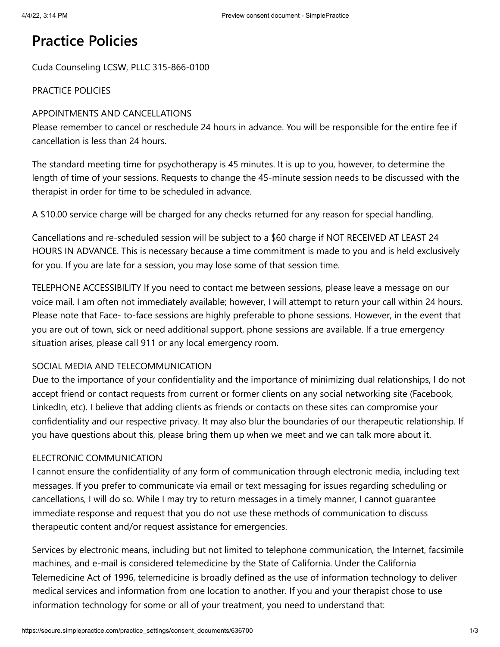# **Practice Policies**

Cuda Counseling LCSW, PLLC 315-866-0100

# PRACTICE POLICIES

## APPOINTMENTS AND CANCELLATIONS

Please remember to cancel or reschedule 24 hours in advance. You will be responsible for the entire fee if cancellation is less than 24 hours.

The standard meeting time for psychotherapy is 45 minutes. It is up to you, however, to determine the length of time of your sessions. Requests to change the 45-minute session needs to be discussed with the therapist in order for time to be scheduled in advance.

A \$10.00 service charge will be charged for any checks returned for any reason for special handling.

Cancellations and re-scheduled session will be subject to a \$60 charge if NOT RECEIVED AT LEAST 24 HOURS IN ADVANCE. This is necessary because a time commitment is made to you and is held exclusively for you. If you are late for a session, you may lose some of that session time.

TELEPHONE ACCESSIBILITY If you need to contact me between sessions, please leave a message on our voice mail. I am often not immediately available; however, I will attempt to return your call within 24 hours. Please note that Face- to-face sessions are highly preferable to phone sessions. However, in the event that you are out of town, sick or need additional support, phone sessions are available. If a true emergency situation arises, please call 911 or any local emergency room.

# SOCIAL MEDIA AND TELECOMMUNICATION

Due to the importance of your confidentiality and the importance of minimizing dual relationships, I do not accept friend or contact requests from current or former clients on any social networking site (Facebook, LinkedIn, etc). I believe that adding clients as friends or contacts on these sites can compromise your confidentiality and our respective privacy. It may also blur the boundaries of our therapeutic relationship. If you have questions about this, please bring them up when we meet and we can talk more about it.

#### ELECTRONIC COMMUNICATION

I cannot ensure the confidentiality of any form of communication through electronic media, including text messages. If you prefer to communicate via email or text messaging for issues regarding scheduling or cancellations, I will do so. While I may try to return messages in a timely manner, I cannot guarantee immediate response and request that you do not use these methods of communication to discuss therapeutic content and/or request assistance for emergencies.

Services by electronic means, including but not limited to telephone communication, the Internet, facsimile machines, and e-mail is considered telemedicine by the State of California. Under the California Telemedicine Act of 1996, telemedicine is broadly defined as the use of information technology to deliver medical services and information from one location to another. If you and your therapist chose to use information technology for some or all of your treatment, you need to understand that: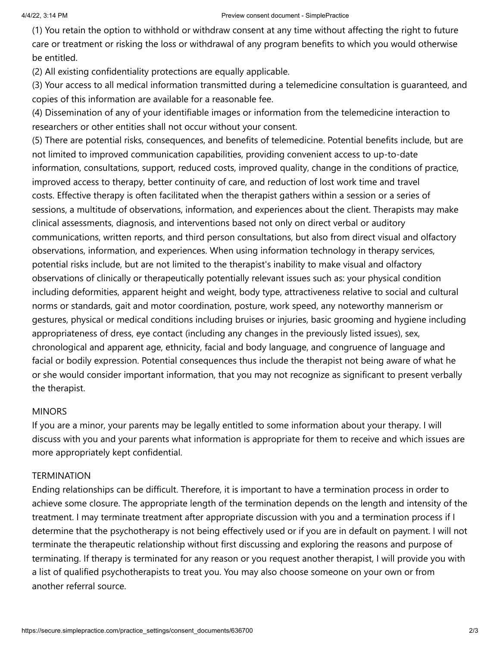(1) You retain the option to withhold or withdraw consent at any time without affecting the right to future care or treatment or risking the loss or withdrawal of any program benefits to which you would otherwise be entitled.

(2) All existing confidentiality protections are equally applicable.

(3) Your access to all medical information transmitted during a telemedicine consultation is guaranteed, and copies of this information are available for a reasonable fee.

(4) Dissemination of any of your identifiable images or information from the telemedicine interaction to researchers or other entities shall not occur without your consent.

(5) There are potential risks, consequences, and benefits of telemedicine. Potential benefits include, but are not limited to improved communication capabilities, providing convenient access to up-to-date information, consultations, support, reduced costs, improved quality, change in the conditions of practice, improved access to therapy, better continuity of care, and reduction of lost work time and travel costs. Effective therapy is often facilitated when the therapist gathers within a session or a series of sessions, a multitude of observations, information, and experiences about the client. Therapists may make clinical assessments, diagnosis, and interventions based not only on direct verbal or auditory communications, written reports, and third person consultations, but also from direct visual and olfactory observations, information, and experiences. When using information technology in therapy services, potential risks include, but are not limited to the therapist's inability to make visual and olfactory observations of clinically or therapeutically potentially relevant issues such as: your physical condition including deformities, apparent height and weight, body type, attractiveness relative to social and cultural norms or standards, gait and motor coordination, posture, work speed, any noteworthy mannerism or gestures, physical or medical conditions including bruises or injuries, basic grooming and hygiene including appropriateness of dress, eye contact (including any changes in the previously listed issues), sex, chronological and apparent age, ethnicity, facial and body language, and congruence of language and facial or bodily expression. Potential consequences thus include the therapist not being aware of what he or she would consider important information, that you may not recognize as significant to present verbally the therapist.

#### **MINORS**

If you are a minor, your parents may be legally entitled to some information about your therapy. I will discuss with you and your parents what information is appropriate for them to receive and which issues are more appropriately kept confidential.

#### **TERMINATION**

Ending relationships can be difficult. Therefore, it is important to have a termination process in order to achieve some closure. The appropriate length of the termination depends on the length and intensity of the treatment. I may terminate treatment after appropriate discussion with you and a termination process if I determine that the psychotherapy is not being effectively used or if you are in default on payment. I will not terminate the therapeutic relationship without first discussing and exploring the reasons and purpose of terminating. If therapy is terminated for any reason or you request another therapist, I will provide you with a list of qualified psychotherapists to treat you. You may also choose someone on your own or from another referral source.